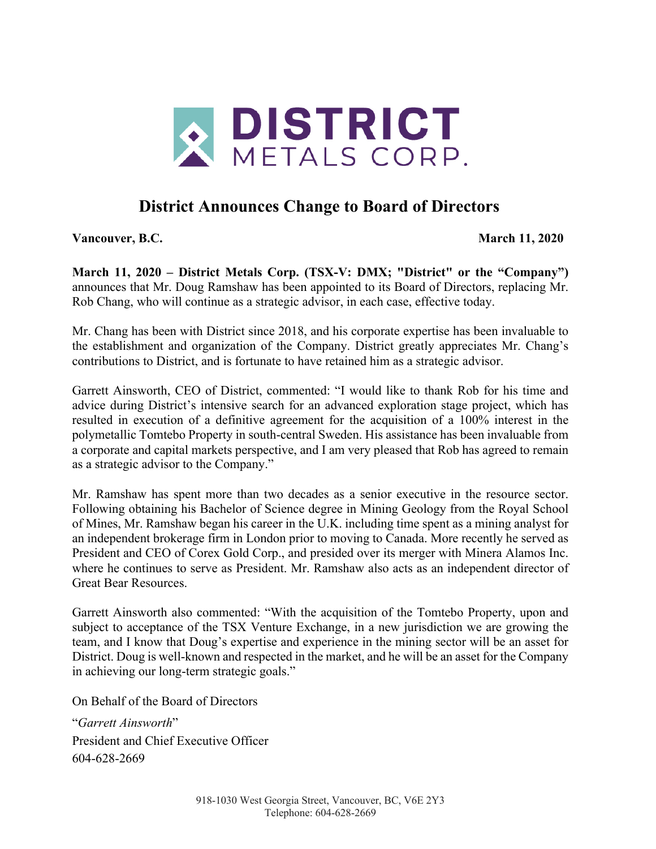

## **District Announces Change to Board of Directors**

**Vancouver, B.C. March 11, 2020**

**March 11, 2020 – District Metals Corp. (TSX-V: DMX; "District" or the "Company")**  announces that Mr. Doug Ramshaw has been appointed to its Board of Directors, replacing Mr. Rob Chang, who will continue as a strategic advisor, in each case, effective today.

Mr. Chang has been with District since 2018, and his corporate expertise has been invaluable to the establishment and organization of the Company. District greatly appreciates Mr. Chang's contributions to District, and is fortunate to have retained him as a strategic advisor.

Garrett Ainsworth, CEO of District, commented: "I would like to thank Rob for his time and advice during District's intensive search for an advanced exploration stage project, which has resulted in execution of a definitive agreement for the acquisition of a 100% interest in the polymetallic Tomtebo Property in south-central Sweden. His assistance has been invaluable from a corporate and capital markets perspective, and I am very pleased that Rob has agreed to remain as a strategic advisor to the Company."

Mr. Ramshaw has spent more than two decades as a senior executive in the resource sector. Following obtaining his Bachelor of Science degree in Mining Geology from the Royal School of Mines, Mr. Ramshaw began his career in the U.K. including time spent as a mining analyst for an independent brokerage firm in London prior to moving to Canada. More recently he served as President and CEO of Corex Gold Corp., and presided over its merger with Minera Alamos Inc. where he continues to serve as President. Mr. Ramshaw also acts as an independent director of Great Bear Resources.

Garrett Ainsworth also commented: "With the acquisition of the Tomtebo Property, upon and subject to acceptance of the TSX Venture Exchange, in a new jurisdiction we are growing the team, and I know that Doug's expertise and experience in the mining sector will be an asset for District. Doug is well-known and respected in the market, and he will be an asset for the Company in achieving our long-term strategic goals."

On Behalf of the Board of Directors

"*Garrett Ainsworth*" President and Chief Executive Officer 604-628-2669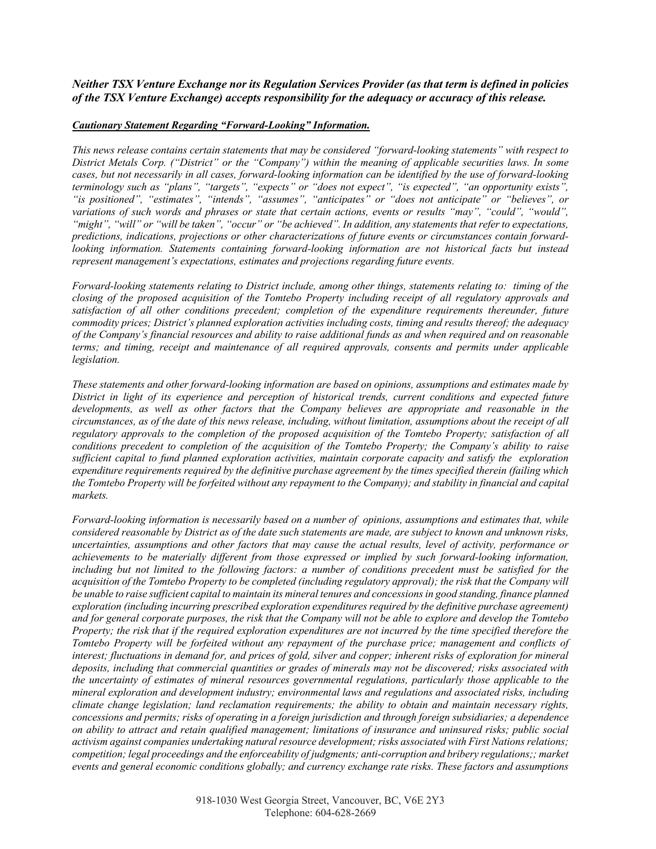*Neither TSX Venture Exchange nor its Regulation Services Provider (as that term is defined in policies of the TSX Venture Exchange) accepts responsibility for the adequacy or accuracy of this release.*

## *Cautionary Statement Regarding "Forward-Looking" Information.*

*This news release contains certain statements that may be considered "forward-looking statements" with respect to District Metals Corp. ("District" or the "Company") within the meaning of applicable securities laws. In some cases, but not necessarily in all cases, forward-looking information can be identified by the use of forward-looking terminology such as "plans", "targets", "expects" or "does not expect", "is expected", "an opportunity exists", "is positioned", "estimates", "intends", "assumes", "anticipates" or "does not anticipate" or "believes", or variations of such words and phrases or state that certain actions, events or results "may", "could", "would", "might", "will" or "will be taken", "occur" or "be achieved". In addition, any statements that refer to expectations, predictions, indications, projections or other characterizations of future events or circumstances contain forwardlooking information. Statements containing forward-looking information are not historical facts but instead represent management's expectations, estimates and projections regarding future events.*

*Forward-looking statements relating to District include, among other things, statements relating to: timing of the closing of the proposed acquisition of the Tomtebo Property including receipt of all regulatory approvals and satisfaction of all other conditions precedent; completion of the expenditure requirements thereunder, future commodity prices; District's planned exploration activities including costs, timing and results thereof; the adequacy of the Company's financial resources and ability to raise additional funds as and when required and on reasonable terms; and timing, receipt and maintenance of all required approvals, consents and permits under applicable legislation.*

*These statements and other forward-looking information are based on opinions, assumptions and estimates made by District in light of its experience and perception of historical trends, current conditions and expected future developments, as well as other factors that the Company believes are appropriate and reasonable in the circumstances, as of the date of this news release, including, without limitation, assumptions about the receipt of all regulatory approvals to the completion of the proposed acquisition of the Tomtebo Property; satisfaction of all conditions precedent to completion of the acquisition of the Tomtebo Property; the Company's ability to raise sufficient capital to fund planned exploration activities, maintain corporate capacity and satisfy the exploration expenditure requirements required by the definitive purchase agreement by the times specified therein (failing which the Tomtebo Property will be forfeited without any repayment to the Company); and stability in financial and capital markets.* 

*Forward-looking information is necessarily based on a number of opinions, assumptions and estimates that, while considered reasonable by District as of the date such statements are made, are subject to known and unknown risks, uncertainties, assumptions and other factors that may cause the actual results, level of activity, performance or achievements to be materially different from those expressed or implied by such forward-looking information,*  including but not limited to the following factors: a number of conditions precedent must be satisfied for the *acquisition of the Tomtebo Property to be completed (including regulatory approval); the risk that the Company will be unable to raise sufficient capital to maintain its mineral tenures and concessions in good standing, finance planned exploration (including incurring prescribed exploration expenditures required by the definitive purchase agreement) and for general corporate purposes, the risk that the Company will not be able to explore and develop the Tomtebo Property; the risk that if the required exploration expenditures are not incurred by the time specified therefore the Tomtebo Property will be forfeited without any repayment of the purchase price; management and conflicts of interest; fluctuations in demand for, and prices of gold, silver and copper; inherent risks of exploration for mineral deposits, including that commercial quantities or grades of minerals may not be discovered; risks associated with the uncertainty of estimates of mineral resources governmental regulations, particularly those applicable to the mineral exploration and development industry; environmental laws and regulations and associated risks, including climate change legislation; land reclamation requirements; the ability to obtain and maintain necessary rights, concessions and permits; risks of operating in a foreign jurisdiction and through foreign subsidiaries; a dependence on ability to attract and retain qualified management; limitations of insurance and uninsured risks; public social activism against companies undertaking natural resource development; risks associated with First Nations relations; competition; legal proceedings and the enforceability of judgments; anti-corruption and bribery regulations;; market events and general economic conditions globally; and currency exchange rate risks. These factors and assumptions*